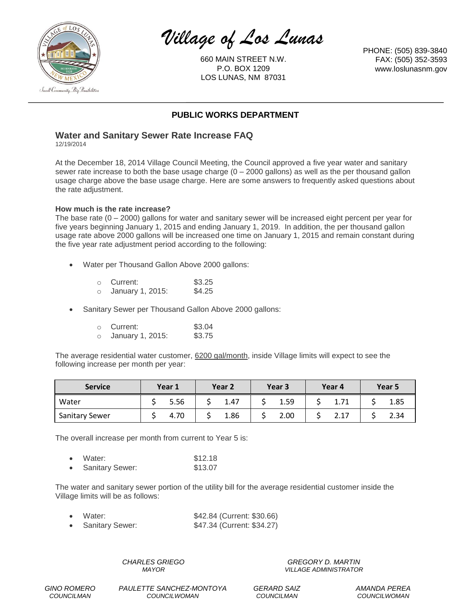

*Village of Los Lunas*

660 MAIN STREET N.W. P.O. BOX 1209 LOS LUNAS, NM 87031

PHONE: (505) 839-3840 FAX: (505) 352-3593 www.loslunasnm.gov

# **PUBLIC WORKS DEPARTMENT**

## **Water and Sanitary Sewer Rate Increase FAQ**

12/19/2014

At the December 18, 2014 Village Council Meeting, the Council approved a five year water and sanitary sewer rate increase to both the base usage charge  $(0 - 2000$  gallons) as well as the per thousand gallon usage charge above the base usage charge. Here are some answers to frequently asked questions about the rate adjustment.

## **How much is the rate increase?**

The base rate  $(0 - 2000)$  gallons for water and sanitary sewer will be increased eight percent per year for five years beginning January 1, 2015 and ending January 1, 2019. In addition, the per thousand gallon usage rate above 2000 gallons will be increased one time on January 1, 2015 and remain constant during the five year rate adjustment period according to the following:

Water per Thousand Gallon Above 2000 gallons:

| $\cap$     | Current:         | \$3.25 |
|------------|------------------|--------|
| $\bigcirc$ | January 1, 2015: | \$4.25 |

Sanitary Sewer per Thousand Gallon Above 2000 gallons:

| $\cap$ | Current:         | \$3.04 |
|--------|------------------|--------|
|        | January 1, 2015: | \$3.75 |

The average residential water customer, 6200 gal/month, inside Village limits will expect to see the following increase per month per year:

| <b>Service</b>        | Year 1 | Year <sub>2</sub> | Year 3 | Year 4 | Year 5 |
|-----------------------|--------|-------------------|--------|--------|--------|
| Water                 | 5.56   | 1.47              | 1.59   | 1. / 1 | 1.85   |
| <b>Sanitary Sewer</b> | 4.70   | 1.86              | 2.00   | 2.17   | 2.34   |

The overall increase per month from current to Year 5 is:

| $\bullet$ | Water:                 | \$12.18 |
|-----------|------------------------|---------|
|           | <b>Sanitary Sewer:</b> | \$13.07 |

The water and sanitary sewer portion of the utility bill for the average residential customer inside the Village limits will be as follows:

| $\bullet$ | Water:          | \$42.84 (Current: \$30.66) |
|-----------|-----------------|----------------------------|
|           | Sanitary Sewer: | \$47.34 (Current: \$34.27) |

*CHARLES GRIEGO MAYOR*

*GREGORY D. MARTIN VILLAGE ADMINISTRATOR*

*GINO ROMERO COUNCILMAN*

*PAULETTE SANCHEZ-MONTOYA COUNCILWOMAN*

*GERARD SAIZ COUNCILMAN*